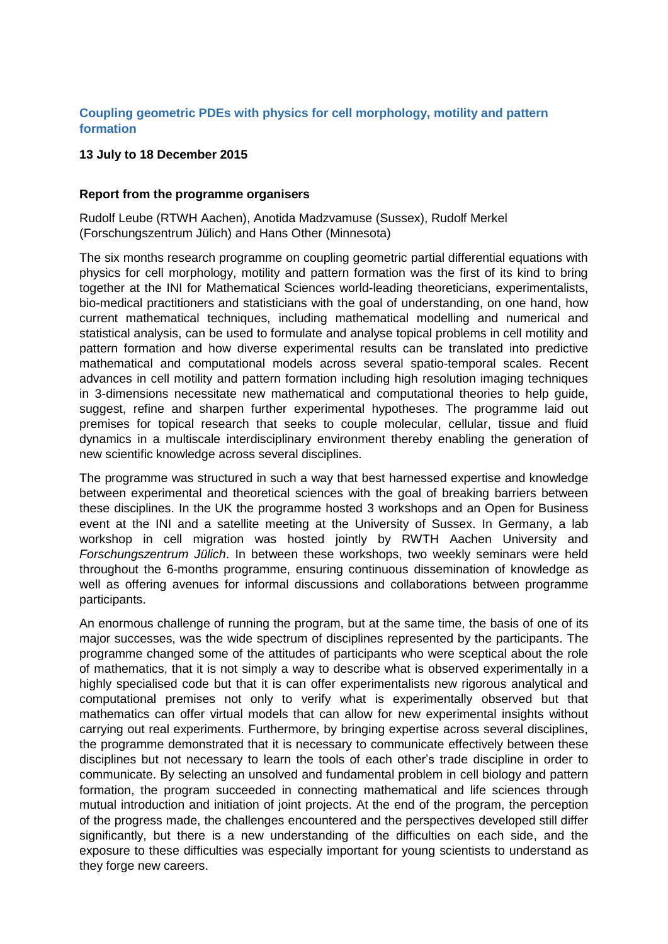## **Coupling geometric PDEs with physics for cell morphology, motility and pattern formation**

## **13 July to 18 December 2015**

## **Report from the programme organisers**

Rudolf Leube (RTWH Aachen), Anotida Madzvamuse (Sussex), Rudolf Merkel (Forschungszentrum Jülich) and Hans Other (Minnesota)

The six months research programme on coupling geometric partial differential equations with physics for cell morphology, motility and pattern formation was the first of its kind to bring together at the INI for Mathematical Sciences world-leading theoreticians, experimentalists, bio-medical practitioners and statisticians with the goal of understanding, on one hand, how current mathematical techniques, including mathematical modelling and numerical and statistical analysis, can be used to formulate and analyse topical problems in cell motility and pattern formation and how diverse experimental results can be translated into predictive mathematical and computational models across several spatio-temporal scales. Recent advances in cell motility and pattern formation including high resolution imaging techniques in 3-dimensions necessitate new mathematical and computational theories to help guide, suggest, refine and sharpen further experimental hypotheses. The programme laid out premises for topical research that seeks to couple molecular, cellular, tissue and fluid dynamics in a multiscale interdisciplinary environment thereby enabling the generation of new scientific knowledge across several disciplines.

The programme was structured in such a way that best harnessed expertise and knowledge between experimental and theoretical sciences with the goal of breaking barriers between these disciplines. In the UK the programme hosted 3 workshops and an Open for Business event at the INI and a satellite meeting at the University of Sussex. In Germany, a lab workshop in cell migration was hosted jointly by RWTH Aachen University and *Forschungszentrum Jülich*. In between these workshops, two weekly seminars were held throughout the 6-months programme, ensuring continuous dissemination of knowledge as well as offering avenues for informal discussions and collaborations between programme participants.

An enormous challenge of running the program, but at the same time, the basis of one of its major successes, was the wide spectrum of disciplines represented by the participants. The programme changed some of the attitudes of participants who were sceptical about the role of mathematics, that it is not simply a way to describe what is observed experimentally in a highly specialised code but that it is can offer experimentalists new rigorous analytical and computational premises not only to verify what is experimentally observed but that mathematics can offer virtual models that can allow for new experimental insights without carrying out real experiments. Furthermore, by bringing expertise across several disciplines, the programme demonstrated that it is necessary to communicate effectively between these disciplines but not necessary to learn the tools of each other's trade discipline in order to communicate. By selecting an unsolved and fundamental problem in cell biology and pattern formation, the program succeeded in connecting mathematical and life sciences through mutual introduction and initiation of joint projects. At the end of the program, the perception of the progress made, the challenges encountered and the perspectives developed still differ significantly, but there is a new understanding of the difficulties on each side, and the exposure to these difficulties was especially important for young scientists to understand as they forge new careers.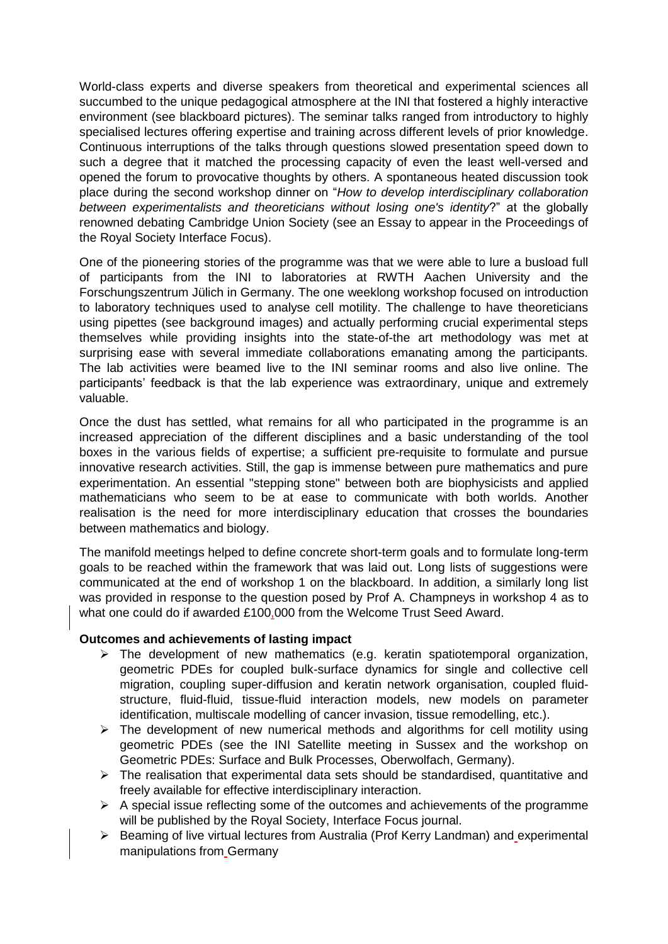World-class experts and diverse speakers from theoretical and experimental sciences all succumbed to the unique pedagogical atmosphere at the INI that fostered a highly interactive environment (see blackboard pictures). The seminar talks ranged from introductory to highly specialised lectures offering expertise and training across different levels of prior knowledge. Continuous interruptions of the talks through questions slowed presentation speed down to such a degree that it matched the processing capacity of even the least well-versed and opened the forum to provocative thoughts by others. A spontaneous heated discussion took place during the second workshop dinner on "*How to develop interdisciplinary collaboration between experimentalists and theoreticians without losing one's identity*?" at the globally renowned debating Cambridge Union Society (see an Essay to appear in the Proceedings of the Royal Society Interface Focus).

One of the pioneering stories of the programme was that we were able to lure a busload full of participants from the INI to laboratories at RWTH Aachen University and the Forschungszentrum Jülich in Germany. The one weeklong workshop focused on introduction to laboratory techniques used to analyse cell motility. The challenge to have theoreticians using pipettes (see background images) and actually performing crucial experimental steps themselves while providing insights into the state-of-the art methodology was met at surprising ease with several immediate collaborations emanating among the participants. The lab activities were beamed live to the INI seminar rooms and also live online. The participants' feedback is that the lab experience was extraordinary, unique and extremely valuable.

Once the dust has settled, what remains for all who participated in the programme is an increased appreciation of the different disciplines and a basic understanding of the tool boxes in the various fields of expertise; a sufficient pre-requisite to formulate and pursue innovative research activities. Still, the gap is immense between pure mathematics and pure experimentation. An essential "stepping stone" between both are biophysicists and applied mathematicians who seem to be at ease to communicate with both worlds. Another realisation is the need for more interdisciplinary education that crosses the boundaries between mathematics and biology.

The manifold meetings helped to define concrete short-term goals and to formulate long-term goals to be reached within the framework that was laid out. Long lists of suggestions were communicated at the end of workshop 1 on the blackboard. In addition, a similarly long list was provided in response to the question posed by Prof A. Champneys in workshop 4 as to what one could do if awarded £100,000 from the Welcome Trust Seed Award.

## **Outcomes and achievements of lasting impact**

- $\triangleright$  The development of new mathematics (e.g. keratin spatiotemporal organization, geometric PDEs for coupled bulk-surface dynamics for single and collective cell migration, coupling super-diffusion and keratin network organisation, coupled fluidstructure, fluid-fluid, tissue-fluid interaction models, new models on parameter identification, multiscale modelling of cancer invasion, tissue remodelling, etc.).
- $\triangleright$  The development of new numerical methods and algorithms for cell motility using geometric PDEs (see the INI Satellite meeting in Sussex and the workshop on Geometric PDEs: Surface and Bulk Processes, Oberwolfach, Germany).
- $\triangleright$  The realisation that experimental data sets should be standardised, quantitative and freely available for effective interdisciplinary interaction.
- $\triangleright$  A special issue reflecting some of the outcomes and achievements of the programme will be published by the Royal Society, Interface Focus journal.
- Beaming of live virtual lectures from Australia (Prof Kerry Landman) and experimental manipulations from Germany